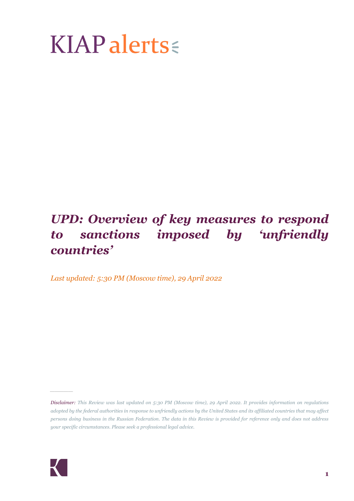# $KIAP$  alerts

# *UPD: Overview of key measures to respond to sanctions imposed by 'unfriendly countries'*

*Last updated: 5:30 PM (Moscow time), 29 April 2022* 



*\_\_\_\_\_*

*Disclaimer: This Review was last updated on 5:30 PM (Moscow time), 29 April 2022. It provides information on regulations adopted by the federal authorities in response to unfriendly actions by the United States and its affiliated countries that may affect persons doing business in the Russian Federation. The data in this Review is provided for reference only and does not address your specific circumstances. Please seek a professional legal advice.*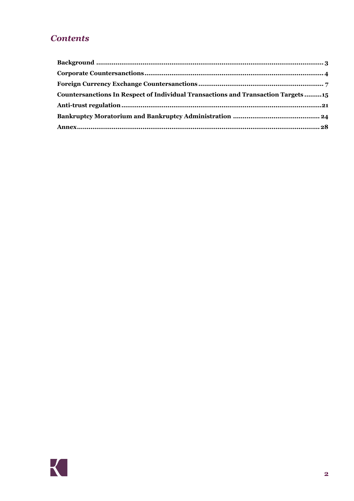# **Contents**

| Countersanctions In Respect of Individual Transactions and Transaction Targets 15 |  |
|-----------------------------------------------------------------------------------|--|
|                                                                                   |  |
|                                                                                   |  |
|                                                                                   |  |
|                                                                                   |  |

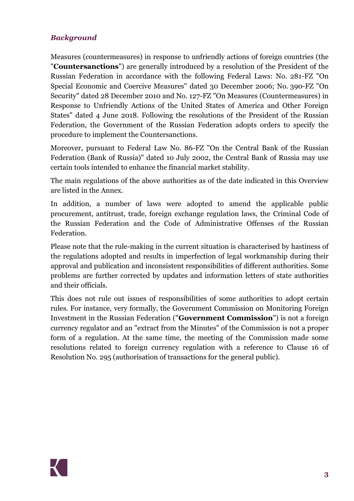# <span id="page-2-0"></span>*Background*

Measures (countermeasures) in response to unfriendly actions of foreign countries (the "**Countersanctions**") are generally introduced by a resolution of the President of the Russian Federation in accordance with the following Federal Laws: No. 281-FZ "On Special Economic and Coercive Measures" dated 30 December 2006; No. 390-FZ "On Security" dated 28 December 2010 and No. 127-FZ "On Measures (Countermeasures) in Response to Unfriendly Actions of the United States of America and Other Foreign States" dated 4 June 2018. Following the resolutions of the President of the Russian Federation, the Government of the Russian Federation adopts orders to specify the procedure to implement the Countersanctions.

Moreover, pursuant to Federal Law No. 86-FZ "On the Central Bank of the Russian Federation (Bank of Russia)" dated 10 July 2002, the Central Bank of Russia may use certain tools intended to enhance the financial market stability.

The main regulations of the above authorities as of the date indicated in this Overview are listed in the [Annex.](#page-27-0)

In addition, a number of laws were adopted to amend the applicable public procurement, antitrust, trade, foreign exchange regulation laws, the Criminal Code of the Russian Federation and the Code of Administrative Offenses of the Russian Federation.

Please note that the rule-making in the current situation is characterised by hastiness of the regulations adopted and results in imperfection of legal workmanship during their approval and publication and inconsistent responsibilities of different authorities. Some problems are further corrected by updates and information letters of state authorities and their officials.

This does not rule out issues of responsibilities of some authorities to adopt certain rules. For instance, very formally, the Government Commission on Monitoring Foreign Investment in the Russian Federation ("**Government Commission**") is not a foreign currency regulator and an "extract from the Minutes" of the Commission is not a proper form of a regulation. At the same time, the meeting of the Commission made some resolutions related to foreign currency regulation with a reference to Clause 16 of Resolution No. 295 (authorisation of transactions for the general public).

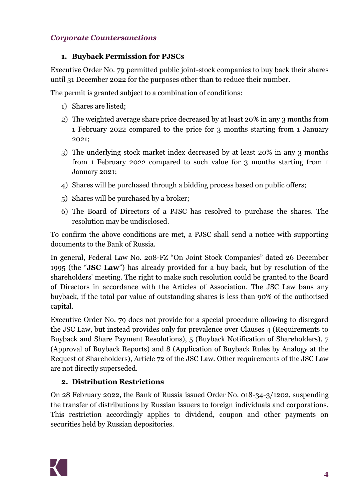### <span id="page-3-0"></span>*Corporate Countersanctions*

#### **1. Buyback Permission for PJSCs**

Executive Order No. 79 permitted public joint-stock companies to buy back their shares until 31 December 2022 for the purposes other than to reduce their number.

The permit is granted subject to a combination of conditions:

- 1) Shares are listed;
- 2) The weighted average share price decreased by at least 20% in any 3 months from 1 February 2022 compared to the price for 3 months starting from 1 January 2021;
- 3) The underlying stock market index decreased by at least 20% in any 3 months from 1 February 2022 compared to such value for 3 months starting from 1 January 2021;
- 4) Shares will be purchased through a bidding process based on public offers;
- 5) Shares will be purchased by a broker;
- 6) The Board of Directors of a PJSC has resolved to purchase the shares. The resolution may be undisclosed.

To confirm the above conditions are met, a PJSC shall send a notice with supporting documents to the Bank of Russia.

In general, Federal Law No. 208-FZ "On Joint Stock Companies" dated 26 December 1995 (the "**JSC Law**") has already provided for a buy back, but by resolution of the shareholders' meeting. The right to make such resolution could be granted to the Board of Directors in accordance with the Articles of Association. The JSC Law bans any buyback, if the total par value of outstanding shares is less than 90% of the authorised capital.

Executive Order No. 79 does not provide for a special procedure allowing to disregard the JSC Law, but instead provides only for prevalence over Clauses 4 (Requirements to Buyback and Share Payment Resolutions), 5 (Buyback Notification of Shareholders), 7 (Approval of Buyback Reports) and 8 (Application of Buyback Rules by Analogy at the Request of Shareholders), Article 72 of the JSC Law. Other requirements of the JSC Law are not directly superseded.

# **2. Distribution Restrictions**

On 28 February 2022, the Bank of Russia issued Order No. 018-34-3/1202, suspending the transfer of distributions by Russian issuers to foreign individuals and corporations. This restriction accordingly applies to dividend, coupon and other payments on securities held by Russian depositories.

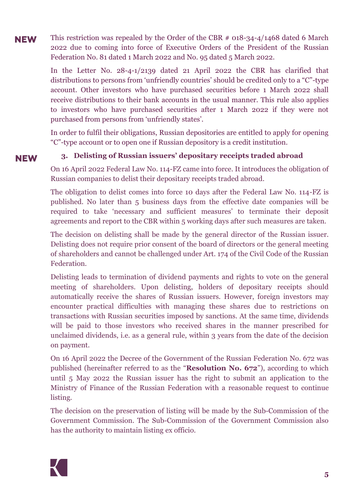This restriction was repealed by the Order of the CBR # 018-34-4/1468 dated 6 March **NEW** 2022 due to coming into force of Executive Orders of the President of the Russian Federation No. 81 dated 1 March 2022 and No. 95 dated 5 March 2022.

> In the Letter No. 28-4-1/2139 dated 21 April 2022 the CBR has clarified that distributions to persons from 'unfriendly countries' should be credited only to a "C"-type account. Other investors who have purchased securities before 1 March 2022 shall receive distributions to their bank accounts in the usual manner. This rule also applies to investors who have purchased securities after 1 March 2022 if they were not purchased from persons from 'unfriendly states'.

> In order to fulfil their obligations, Russian depositories are entitled to apply for opening "C"-type account or to open one if Russian depository is a credit institution.

**NEW** 

#### **3. Delisting of Russian issuers' depositary receipts traded abroad**

On 16 April 2022 Federal Law No. 114-FZ came into force. It introduces the obligation of Russian companies to delist their depositary receipts traded abroad.

The obligation to delist comes into force 10 days after the Federal Law No. 114-FZ is published. No later than 5 business days from the effective date companies will be required to take 'necessary and sufficient measures' to terminate their deposit agreements and report to the CBR within 5 working days after such measures are taken.

The decision on delisting shall be made by the general director of the Russian issuer. Delisting does not require prior consent of the board of directors or the general meeting of shareholders and cannot be challenged under Art. 174 of the Civil Code of the Russian Federation.

Delisting leads to termination of dividend payments and rights to vote on the general meeting of shareholders. Upon delisting, holders of depositary receipts should automatically receive the shares of Russian issuers. However, foreign investors may encounter practical difficulties with managing these shares due to restrictions on transactions with Russian securities imposed by sanctions. At the same time, dividends will be paid to those investors who received shares in the manner prescribed for unclaimed dividends, i.e. as a general rule, within 3 years from the date of the decision on payment.

On 16 April 2022 the Decree of the Government of the Russian Federation No. 672 was published (hereinafter referred to as the "**Resolution No. 672**"), according to which until 5 May 2022 the Russian issuer has the right to submit an application to the Ministry of Finance of the Russian Federation with a reasonable request to continue listing.

The decision on the preservation of listing will be made by the Sub-Commission of the Government Commission. The Sub-Commission of the Government Commission also has the authority to maintain listing ex officio.

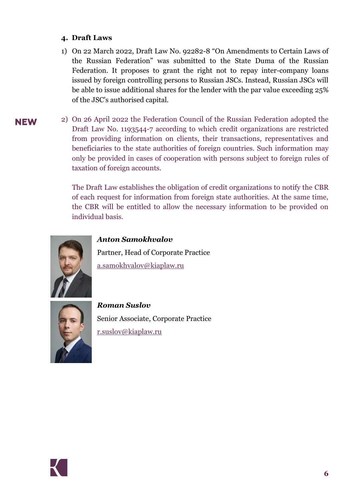#### **4. Draft Laws**

- 1) On 22 March 2022, Draft Law No. 92282-8 "On Amendments to Certain Laws of the Russian Federation" was submitted to the State Duma of the Russian Federation. It proposes to grant the right not to repay inter-company loans issued by foreign controlling persons to Russian JSCs. Instead, Russian JSCs will be able to issue additional shares for the lender with the par value exceeding 25% of the JSC's authorised capital.
- 2) On 26 April 2022 the Federation Council of the Russian Federation adopted the **NEW** Draft Law No. 1193544-7 according to which credit organizations are restricted from providing information on clients, their transactions, representatives and beneficiaries to the state authorities of foreign countries. Such information may only be provided in cases of cooperation with persons subject to foreign rules of taxation of foreign accounts.

The Draft Law establishes the obligation of credit organizations to notify the CBR of each request for information from foreign state authorities. At the same time, the CBR will be entitled to allow the necessary information to be provided on individual basis.



*Anton Samokhvalov*

Partner, Head of Corporate Practice [a.samokhvalov@kiaplaw.ru](mailto:a.samokhvalov@kiaplaw.ru)



*Roman Suslov* Senior Associate, Corporate Practice [r.suslov@kiaplaw.ru](mailto:r.suslov@kiaplaw.ru)

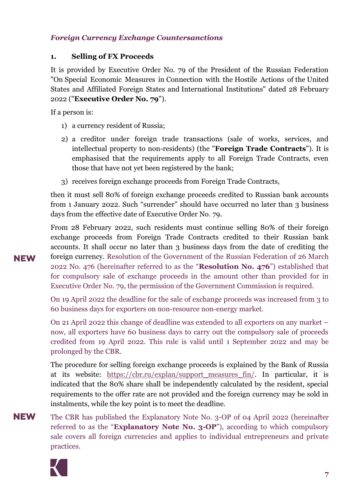#### <span id="page-6-0"></span>*Foreign Currency Exchange Countersanctions*

#### **1. Selling of FX Proceeds**

It is provided by Executive Order No. 79 of the President of the Russian Federation "On Special Economic Measures in Connection with the Hostile Actions of the United States and Affiliated Foreign States and International Institutions" dated 28 February 2022 ("**Executive Order No. 79**").

If a person is:

- 1) a currency resident of Russia;
- 2) a creditor under foreign trade transactions (sale of works, services, and intellectual property to non-residents) (the "**Foreign Trade Contracts**"). It is emphasised that the requirements apply to all Foreign Trade Contracts, even those that have not yet been registered by the bank;
- 3) receives foreign exchange proceeds from Foreign Trade Contracts,

then it must sell 80% of foreign exchange proceeds credited to Russian bank accounts from 1 January 2022. Such "surrender" should have occurred no later than 3 business days from the effective date of Executive Order No. 79.

From 28 February 2022, such residents must continue selling 80% of their foreign exchange proceeds from Foreign Trade Contracts credited to their Russian bank accounts. It shall occur no later than 3 business days from the date of crediting the foreign currency. Resolution of the Government of the Russian Federation of 26 March 2022 No. 476 (hereinafter referred to as the "**Resolution No. 476**") established that for compulsory sale of exchange proceeds in the amount other than provided for in Executive Order No. 79, the permission of the Government Commission is required.

On 19 April 2022 the deadline for the sale of exchange proceeds was increased from 3 to 60 business days for exporters on non-resource non-energy market.

On 21 April 2022 this change of deadline was extended to all exporters on any market – now, all exporters have 60 business days to carry out the compulsory sale of proceeds credited from 19 April 2022. This rule is valid until 1 September 2022 and may be prolonged by the CBR.

The procedure for selling foreign exchange proceeds is explained by the Bank of Russia at its website: [https://cbr.ru/explan/support\\_measures\\_fin/.](https://cbr.ru/explan/support_measures_fin/) In particular, it is indicated that the 80% share shall be independently calculated by the resident, special requirements to the offer rate are not provided and the foreign currency may be sold in instalments, while the key point is to meet the deadline.

**NEW** The CBR has published the Explanatory Note No. 3-OP of 04 April 2022 (hereinafter referred to as the "**Explanatory Note No. 3-OP**"), according to which compulsory sale covers all foreign currencies and applies to individual entrepreneurs and private practices.

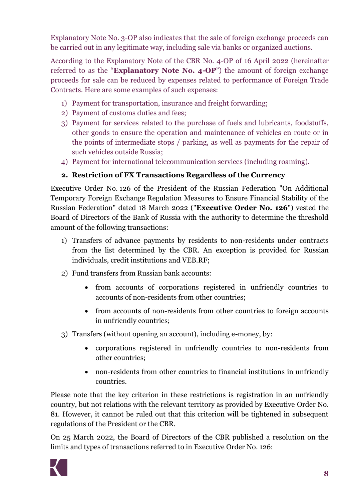Explanatory Note No. 3-OP also indicates that the sale of foreign exchange proceeds can be carried out in any legitimate way, including sale via banks or organized auctions.

According to the Explanatory Note of the CBR No. 4-ОР of 16 April 2022 (hereinafter referred to as the "**Explanatory Note No. 4-OP**") the amount of foreign exchange proceeds for sale can be reduced by expenses related to performance of Foreign Trade Contracts. Here are some examples of such expenses:

- 1) Payment for transportation, insurance and freight forwarding;
- 2) Payment of customs duties and fees;
- 3) Payment for services related to the purchase of fuels and lubricants, foodstuffs, other goods to ensure the operation and maintenance of vehicles en route or in the points of intermediate stops / parking, as well as payments for the repair of such vehicles outside Russia;
- 4) Payment for international telecommunication services (including roaming).

# **2. Restriction of FX Transactions Regardless of the Currency**

Executive Order No. 126 of the President of the Russian Federation "On Additional Temporary Foreign Exchange Regulation Measures to Ensure Financial Stability of the Russian Federation" dated 18 March 2022 ("**Executive Order No. 126**") vested the Board of Directors of the Bank of Russia with the authority to determine the threshold amount of the following transactions:

- 1) Transfers of advance payments by residents to non-residents under contracts from the list determined by the CBR. An exception is provided for Russian individuals, credit institutions and VEB.RF;
- 2) Fund transfers from Russian bank accounts:
	- from accounts of corporations registered in unfriendly countries to accounts of non-residents from other countries;
	- from accounts of non-residents from other countries to foreign accounts in unfriendly countries;
- 3) Transfers (without opening an account), including e-money, by:
	- corporations registered in unfriendly countries to non-residents from other countries;
	- non-residents from other countries to financial institutions in unfriendly countries.

Please note that the key criterion in these restrictions is registration in an unfriendly country, but not relations with the relevant territory as provided by Executive Order No. 81. However, it cannot be ruled out that this criterion will be tightened in subsequent regulations of the President or the CBR.

On 25 March 2022, the Board of Directors of the CBR published a resolution on the limits and types of transactions referred to in Executive Order No. 126:

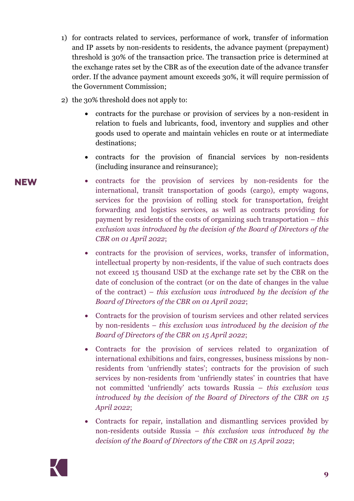- 1) for contracts related to services, performance of work, transfer of information and IP assets by non-residents to residents, the advance payment (prepayment) threshold is 30% of the transaction price. The transaction price is determined at the exchange rates set by the CBR as of the execution date of the advance transfer order. If the advance payment amount exceeds 30%, it will require permission of the Government Commission;
- 2) the 30% threshold does not apply to:
	- contracts for the purchase or provision of services by a non-resident in relation to fuels and lubricants, food, inventory and supplies and other goods used to operate and maintain vehicles en route or at intermediate destinations;
	- contracts for the provision of financial services by non-residents (including insurance and reinsurance);
	- contracts for the provision of services by non-residents for the international, transit transportation of goods (cargo), empty wagons, services for the provision of rolling stock for transportation, freight forwarding and logistics services, as well as contracts providing for payment by residents of the costs of organizing such transportation – *this exclusion was introduced by the decision of the Board of Directors of the CBR on 01 April 2022*;
		- contracts for the provision of services, works, transfer of information, intellectual property by non-residents, if the value of such contracts does not exceed 15 thousand USD at the exchange rate set by the CBR on the date of conclusion of the contract (or on the date of changes in the value of the contract) – *this exclusion was introduced by the decision of the Board of Directors of the CBR on 01 April 2022*;
		- Contracts for the provision of tourism services and other related services by non-residents – *this exclusion was introduced by the decision of the Board of Directors of the CBR on 15 April 2022*;
		- Contracts for the provision of services related to organization of international exhibitions and fairs, congresses, business missions by nonresidents from 'unfriendly states'; contracts for the provision of such services by non-residents from 'unfriendly states' in countries that have not committed 'unfriendly' acts towards Russia – *this exclusion was introduced by the decision of the Board of Directors of the CBR on 15 April 2022*;
		- Contracts for repair, installation and dismantling services provided by non-residents outside Russia – *this exclusion was introduced by the decision of the Board of Directors of the CBR on 15 April 2022*;

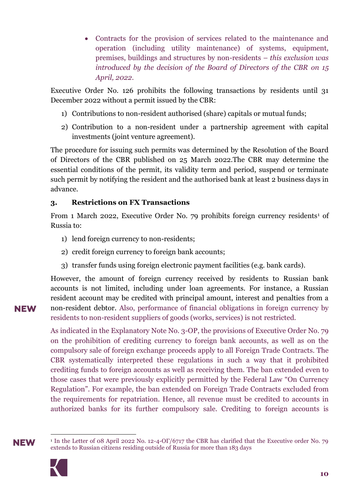Contracts for the provision of services related to the maintenance and operation (including utility maintenance) of systems, equipment, premises, buildings and structures by non-residents – *this exclusion was introduced by the decision of the Board of Directors of the CBR on 15 April, 2022*.

Executive Order No. 126 prohibits the following transactions by residents until 31 December 2022 without a permit issued by the CBR:

- 1) Contributions to non-resident authorised (share) capitals or mutual funds;
- 2) Contribution to a non-resident under a partnership agreement with capital investments (joint venture agreement).

The procedure for issuing such permits was determined by the Resolution of the Board of Directors of the CBR published on 25 March 2022.The CBR may determine the essential conditions of the permit, its validity term and period, suspend or terminate such permit by notifying the resident and the authorised bank at least 2 business days in advance.

#### <span id="page-9-0"></span>**3. Restrictions on FX Transactions**

From 1 March 2022, Executive Order No. 79 prohibits foreign currency residents<sup>1</sup> of Russia to:

- 1) lend foreign currency to non-residents;
- 2) credit foreign currency to foreign bank accounts;
- 3) transfer funds using foreign electronic payment facilities (e.g. bank cards).

However, the amount of foreign currency received by residents to Russian bank accounts is not limited, including under loan agreements. For instance, a Russian resident account may be credited with principal amount, interest and penalties from a non-resident debtor. Also, performance of financial obligations in foreign currency by residents to non-resident suppliers of goods (works, services) is not restricted.

As indicated in the Explanatory Note No. 3-OP, the provisions of Executive Order No. 79 on the prohibition of crediting currency to foreign bank accounts, as well as on the compulsory sale of foreign exchange proceeds apply to all Foreign Trade Contracts. The CBR systematically interpreted these regulations in such a way that it prohibited crediting funds to foreign accounts as well as receiving them. The ban extended even to those cases that were previously explicitly permitted by the Federal Law "On Currency Regulation". For example, the ban extended on Foreign Trade Contracts excluded from the requirements for repatriation. Hence, all revenue must be credited to accounts in authorized banks for its further compulsory sale. Crediting to foreign accounts is

**NEW** 

 $\overline{a}$ <sup>1</sup> In the Letter of 08 April 2022 No. 12-4-ОГ/6717 the CBR has clarified that the Executive order No. 79 extends to Russian citizens residing outside of Russia for more than 183 days

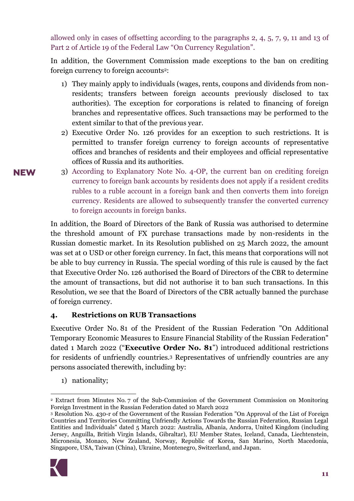allowed only in cases of offsetting according to the paragraphs 2, 4, 5, 7, 9, 11 and 13 of Part 2 of Article 19 of the Federal Law "On Currency Regulation".

In addition, the Government Commission made exceptions to the ban on crediting foreign currency to foreign accounts2:

- 1) They mainly apply to individuals (wages, rents, coupons and dividends from nonresidents; transfers between foreign accounts previously disclosed to tax authorities). The exception for corporations is related to financing of foreign branches and representative offices. Such transactions may be performed to the extent similar to that of the previous year.
- 2) Executive Order No. 126 provides for an exception to such restrictions. It is permitted to transfer foreign currency to foreign accounts of representative offices and branches of residents and their employees and official representative offices of Russia and its authorities.
- 3) According to Explanatory Note No. 4-ОР, the current ban on crediting foreign currency to foreign bank accounts by residents does not apply if a resident credits rubles to a ruble account in a foreign bank and then converts them into foreign currency. Residents are allowed to subsequently transfer the converted currency to foreign accounts in foreign banks.

In addition, the Board of Directors of the Bank of Russia was authorised to determine the threshold amount of FX purchase transactions made by non-residents in the Russian domestic market. In its Resolution published on 25 March 2022, the amount was set at 0 USD or other foreign currency. In fact, this means that corporations will not be able to buy currency in Russia. The special wording of this rule is caused by the fact that Executive Order No. 126 authorised the Board of Directors of the CBR to determine the amount of transactions, but did not authorise it to ban such transactions. In this Resolution, we see that the Board of Directors of the CBR actually banned the purchase of foreign currency.

#### <span id="page-10-0"></span>**4. Restrictions on RUB Transactions**

Executive Order No. 81 of the President of the Russian Federation "On Additional Temporary Economic Measures to Ensure Financial Stability of the Russian Federation" dated 1 March 2022 ("**Executive Order No. 81**") introduced additional restrictions for residents of unfriendly countries.<sup>3</sup> Representatives of unfriendly countries are any persons associated therewith, including by:

1) nationality;

<sup>3</sup> Resolution No. 430-r of the Government of the Russian Federation "On Approval of the List of Foreign Countries and Territories Committing Unfriendly Actions Towards the Russian Federation, Russian Legal Entities and Individuals" dated 5 March 2022: Australia, Albania, Andorra, United Kingdom (including Jersey, Anguilla, British Virgin Islands, Gibraltar), EU Member States, Iceland, Canada, Liechtenstein, Micronesia, Monaco, New Zealand, Norway, Republic of Korea, San Marino, North Macedonia, Singapore, USA, Taiwan (China), Ukraine, Montenegro, Switzerland, and Japan.



**<sup>.</sup>** <sup>2</sup> Extract from Minutes No. 7 of the Sub-Commission of the Government Commission on Monitoring Foreign Investment in the Russian Federation dated 10 March 2022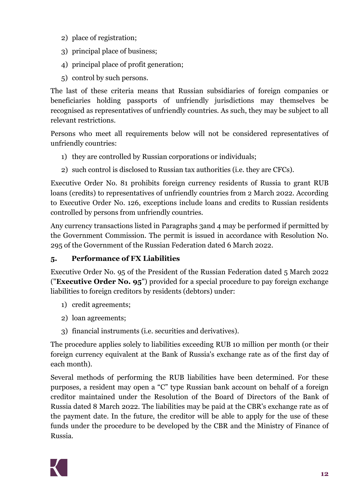- 2) place of registration;
- 3) principal place of business;
- 4) principal place of profit generation;
- 5) control by such persons.

The last of these criteria means that Russian subsidiaries of foreign companies or beneficiaries holding passports of unfriendly jurisdictions may themselves be recognised as representatives of unfriendly countries. As such, they may be subject to all relevant restrictions.

Persons who meet all requirements below will not be considered representatives of unfriendly countries:

- 1) they are controlled by Russian corporations or individuals;
- 2) such control is disclosed to Russian tax authorities (i.e. they are CFCs).

Executive Order No. 81 prohibits foreign currency residents of Russia to grant RUB loans (credits) to representatives of unfriendly countries from 2 March 2022. According to Executive Order No. 126, exceptions include loans and credits to Russian residents controlled by persons from unfriendly countries.

Any currency transactions listed in Paragraphs [3a](#page-9-0)nd [4](#page-10-0) may be performed if permitted by the Government Commission. The permit is issued in accordance with Resolution No. 295 of the Government of the Russian Federation dated 6 March 2022.

# **5. Performance of FX Liabilities**

Executive Order No. 95 of the President of the Russian Federation dated 5 March 2022 ("**Executive Order No. 95**") provided for a special procedure to pay foreign exchange liabilities to foreign creditors by residents (debtors) under:

- 1) credit agreements;
- 2) loan agreements;
- 3) financial instruments (i.e. securities and derivatives).

The procedure applies solely to liabilities exceeding RUB 10 million per month (or their foreign currency equivalent at the Bank of Russia's exchange rate as of the first day of each month).

Several methods of performing the RUB liabilities have been determined. For these purposes, a resident may open a "C" type Russian bank account on behalf of a foreign creditor maintained under the Resolution of the Board of Directors of the Bank of Russia dated 8 March 2022. The liabilities may be paid at the CBR's exchange rate as of the payment date. In the future, the creditor will be able to apply for the use of these funds under the procedure to be developed by the CBR and the Ministry of Finance of Russia.

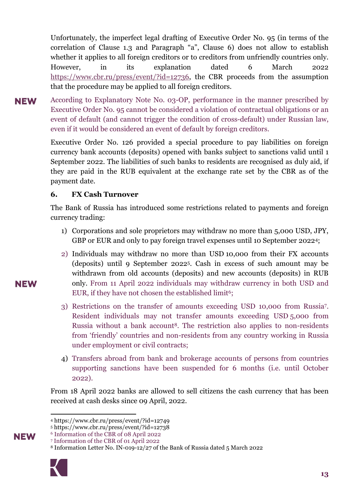Unfortunately, the imperfect legal drafting of Executive Order No. 95 (in terms of the correlation of Clause 1.3 and Paragraph "a", Clause 6) does not allow to establish whether it applies to all foreign creditors or to creditors from unfriendly countries only. However, in its explanation dated 6 March 2022 [https://www.cbr.ru/press/event/?id=12736,](https://www.cbr.ru/press/event/?id=12736) the CBR proceeds from the assumption that the procedure may be applied to all foreign creditors.

According to Explanatory Note No. 03-OP, performance in the manner prescribed by **NEW** Executive Order No. 95 cannot be considered a violation of contractual obligations or an event of default (and cannot trigger the condition of cross-default) under Russian law, even if it would be considered an event of default by foreign creditors.

> Executive Order No. 126 provided a special procedure to pay liabilities on foreign currency bank accounts (deposits) opened with banks subject to sanctions valid until 1 September 2022. The liabilities of such banks to residents are recognised as duly aid, if they are paid in the RUB equivalent at the exchange rate set by the CBR as of the payment date.

#### **6. FX Cash Turnover**

The Bank of Russia has introduced some restrictions related to payments and foreign currency trading:

- 1) Corporations and sole proprietors may withdraw no more than 5,000 USD, JPY, GBP or EUR and only to pay foreign travel expenses until 10 September 20224;
- 2) Individuals may withdraw no more than USD 10,000 from their FX accounts (deposits) until 9 September 20225. Cash in excess of such amount may be withdrawn from old accounts (deposits) and new accounts (deposits) in RUB only. From 11 April 2022 individuals may withdraw currency in both USD and EUR, if they have not chosen the established limit<sup>6</sup>;
- 3) Restrictions on the transfer of amounts exceeding USD 10,000 from Russia7. Resident individuals may not transfer amounts exceeding USD 5,000 from Russia without a bank account<sup>8</sup>. The restriction also applies to non-residents from 'friendly' countries and non-residents from any country working in Russia under employment or civil contracts;
- 4) Transfers abroad from bank and brokerage accounts of persons from countries supporting sanctions have been suspended for 6 months (i.e. until October 2022).

From 18 April 2022 banks are allowed to sell citizens the cash currency that has been received at cash desks since 09 April, 2022.

<sup>8</sup> Information Letter No. IN-019-12/27 of the Bank of Russia dated 5 March 2022



**<sup>.</sup>** <sup>4</sup> https://www.cbr.ru/press/event/?id=12749

<sup>5</sup> https://www.cbr.ru/press/event/?id=12738

<sup>6</sup> Information of the CBR of 08 April 2022

<sup>7</sup> Information of the CBR of 01 April 2022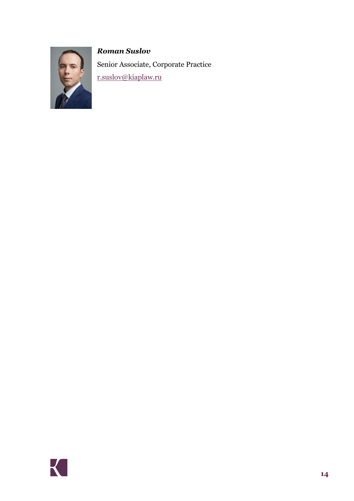# *Roman Suslov*



Senior Associate, Corporate Practice [r.suslov@kiaplaw.ru](mailto:r.suslov@kiaplaw.ru)

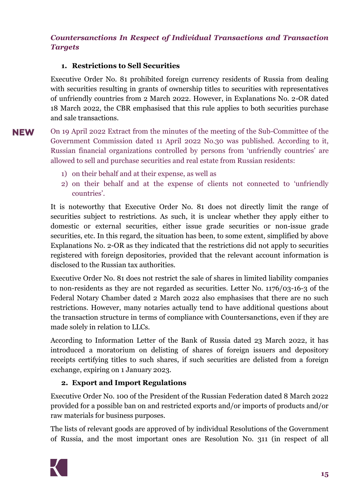# <span id="page-14-0"></span>*Countersanctions In Respect of Individual Transactions and Transaction Targets*

# **1. Restrictions to Sell Securities**

Executive Order No. 81 prohibited foreign currency residents of Russia from dealing with securities resulting in grants of ownership titles to securities with representatives of unfriendly countries from 2 March 2022. However, in Explanations No. 2-OR dated 18 March 2022, the CBR emphasised that this rule applies to both securities purchase and sale transactions.

- **NEW** On 19 April 2022 Extract from the minutes of the meeting of the Sub-Committee of the Government Commission dated 11 April 2022 No.30 was published. According to it, Russian financial organizations controlled by persons from 'unfriendly countries' are allowed to sell and purchase securities and real estate from Russian residents:
	- 1) on their behalf and at their expense, as well as
	- 2) on their behalf and at the expense of clients not connected to 'unfriendly countries'.

It is noteworthy that Executive Order No. 81 does not directly limit the range of securities subject to restrictions. As such, it is unclear whether they apply either to domestic or external securities, either issue grade securities or non-issue grade securities, etc. In this regard, the situation has been, to some extent, simplified by above Explanations No. 2-OR as they indicated that the restrictions did not apply to securities registered with foreign depositories, provided that the relevant account information is disclosed to the Russian tax authorities.

Executive Order No. 81 does not restrict the sale of shares in limited liability companies to non-residents as they are not regarded as securities. Letter No. 1176/03-16-3 of the Federal Notary Chamber dated 2 March 2022 also emphasises that there are no such restrictions. However, many notaries actually tend to have additional questions about the transaction structure in terms of compliance with Countersanctions, even if they are made solely in relation to LLCs.

According to Information Letter of the Bank of Russia dated 23 March 2022, it has introduced a moratorium on delisting of shares of foreign issuers and depository receipts certifying titles to such shares, if such securities are delisted from a foreign exchange, expiring on 1 January 2023.

#### **2. Export and Import Regulations**

Executive Order No. 100 of the President of the Russian Federation dated 8 March 2022 provided for a possible ban on and restricted exports and/or imports of products and/or raw materials for business purposes.

The lists of relevant goods are approved of by individual Resolutions of the Government of Russia, and the most important ones are Resolution No. 311 (in respect of all

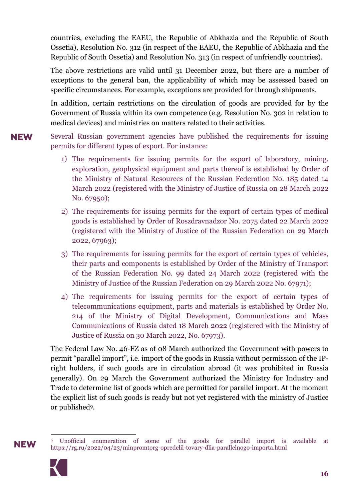countries, excluding the EAEU, the Republic of Abkhazia and the Republic of South Ossetia), Resolution No. 312 (in respect of the EAEU, the Republic of Abkhazia and the Republic of South Ossetia) and Resolution No. 313 (in respect of unfriendly countries).

The above restrictions are valid until 31 December 2022, but there are a number of exceptions to the general ban, the applicability of which may be assessed based on specific circumstances. For example, exceptions are provided for through shipments.

In addition, certain restrictions on the circulation of goods are provided for by the Government of Russia within its own competence (e.g. Resolution No. 302 in relation to medical devices) and ministries on matters related to their activities.

Several Russian government agencies have published the requirements for issuing **NEW** permits for different types of export. For instance:

- 1) The requirements for issuing permits for the export of laboratory, mining, exploration, geophysical equipment and parts thereof is established by Order of the Ministry of Natural Resources of the Russian Federation No. 185 dated 14 March 2022 (registered with the Ministry of Justice of Russia on 28 March 2022 No. 67950);
- 2) The requirements for issuing permits for the export of certain types of medical goods is established by Order of Roszdravnadzor No. 2075 dated 22 March 2022 (registered with the Ministry of Justice of the Russian Federation on 29 March 2022, 67963);
- 3) The requirements for issuing permits for the export of certain types of vehicles, their parts and components is established by Order of the Ministry of Transport of the Russian Federation No. 99 dated 24 March 2022 (registered with the Ministry of Justice of the Russian Federation on 29 March 2022 No. 67971);
- 4) The requirements for issuing permits for the export of certain types of telecommunications equipment, parts and materials is established by Order No. 214 of the Ministry of Digital Development, Communications and Mass Communications of Russia dated 18 March 2022 (registered with the Ministry of Justice of Russia on 30 March 2022, No. 67973).

The Federal Law No. 46-FZ as of 08 March authorized the Government with powers to permit "parallel import", i.e. import of the goods in Russia without permission of the IPright holders, if such goods are in circulation abroad (it was prohibited in Russia generally). On 29 March the Government authorized the Ministry for Industry and Trade to determine list of goods which are permitted for parallel import. At the moment the explicit list of such goods is ready but not yet registered with the ministry of Justice or published9.



 $\overline{a}$ <sup>9</sup> Unofficial enumeration of some of the goods for parallel import is available at https://rg.ru/2022/04/23/minpromtorg-opredelil-tovary-dlia-parallelnogo-importa.html

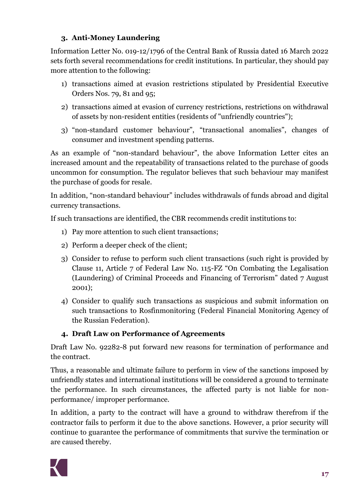# **3. Anti-Money Laundering**

Information Letter No. 019-12/1796 of the Central Bank of Russia dated 16 March 2022 sets forth several recommendations for credit institutions. In particular, they should pay more attention to the following:

- 1) transactions aimed at evasion restrictions stipulated by Presidential Executive Orders Nos. 79, 81 and 95;
- 2) transactions aimed at evasion of currency restrictions, restrictions on withdrawal of assets by non-resident entities (residents of "unfriendly countries");
- 3) "non-standard customer behaviour", "transactional anomalies", changes of consumer and investment spending patterns.

As an example of "non-standard behaviour", the above Information Letter cites an increased amount and the repeatability of transactions related to the purchase of goods uncommon for consumption. The regulator believes that such behaviour may manifest the purchase of goods for resale.

In addition, "non-standard behaviour" includes withdrawals of funds abroad and digital currency transactions.

If such transactions are identified, the CBR recommends credit institutions to:

- 1) Pay more attention to such client transactions;
- 2) Perform a deeper check of the client;
- 3) Consider to refuse to perform such client transactions (such right is provided by Clause 11, Article 7 of Federal Law No. 115-FZ "On Combating the Legalisation (Laundering) of Criminal Proceeds and Financing of Terrorism" dated 7 August 2001);
- 4) Consider to qualify such transactions as suspicious and submit information on such transactions to Rosfinmonitoring (Federal Financial Monitoring Agency of the Russian Federation).

# **4. Draft Law on Performance of Agreements**

Draft Law No. 92282-8 put forward new reasons for termination of performance and the contract.

Thus, a reasonable and ultimate failure to perform in view of the sanctions imposed by unfriendly states and international institutions will be considered a ground to terminate the performance. In such circumstances, the affected party is not liable for nonperformance/ improper performance.

In addition, a party to the contract will have a ground to withdraw therefrom if the contractor fails to perform it due to the above sanctions. However, a prior security will continue to guarantee the performance of commitments that survive the termination or are caused thereby.

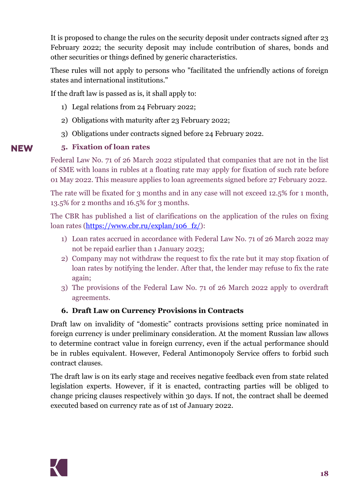It is proposed to change the rules on the security deposit under contracts signed after 23 February 2022; the security deposit may include contribution of shares, bonds and other securities or things defined by generic characteristics.

These rules will not apply to persons who "facilitated the unfriendly actions of foreign states and international institutions."

If the draft law is passed as is, it shall apply to:

- 1) Legal relations from 24 February 2022;
- 2) Obligations with maturity after 23 February 2022;
- 3) Obligations under contracts signed before 24 February 2022.

### **5. Fixation of loan rates**

Federal Law No. 71 of 26 March 2022 stipulated that companies that are not in the list of SME with loans in rubles at a floating rate may apply for fixation of such rate before 01 May 2022. This measure applies to loan agreements signed before 27 February 2022.

The rate will be fixated for 3 months and in any case will not exceed 12.5% for 1 month, 13.5% for 2 months and 16.5% for 3 months.

The CBR has published a list of clarifications on the application of the rules on fixing loan rates [\(https://www.cbr.ru/explan/106\\_fz/\)](https://www.cbr.ru/explan/106_fz/):

- 1) Loan rates accrued in accordance with Federal Law No. 71 of 26 March 2022 may not be repaid earlier than 1 January 2023;
- 2) Company may not withdraw the request to fix the rate but it may stop fixation of loan rates by notifying the lender. After that, the lender may refuse to fix the rate again;
- 3) The provisions of the Federal Law No. 71 of 26 March 2022 apply to overdraft agreements.

# **6. Draft Law on Currency Provisions in Contracts**

Draft law on invalidity of "domestic" contracts provisions setting price nominated in foreign currency is under preliminary consideration. At the moment Russian law allows to determine contract value in foreign currency, even if the actual performance should be in rubles equivalent. However, Federal Antimonopoly Service offers to forbid such contract clauses.

The draft law is on its early stage and receives negative feedback even from state related legislation experts. However, if it is enacted, contracting parties will be obliged to change pricing clauses respectively within 30 days. If not, the contract shall be deemed executed based on currency rate as of 1st of January 2022.

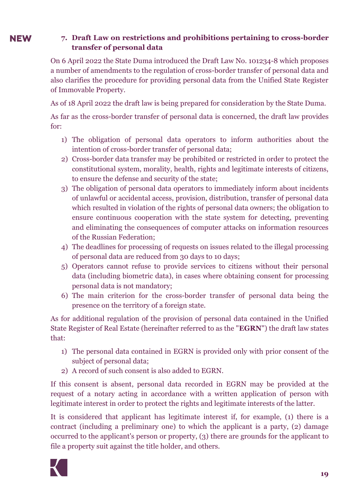#### **NEW 7. Draft Law on restrictions and prohibitions pertaining to cross-border transfer of personal data**

On 6 April 2022 the State Duma introduced the Draft Law No. 101234-8 which proposes a number of amendments to the regulation of cross-border transfer of personal data and also clarifies the procedure for providing personal data from the Unified State Register of Immovable Property.

As of 18 April 2022 the draft law is being prepared for consideration by the State Duma.

As far as the cross-border transfer of personal data is concerned, the draft law provides for:

- 1) The obligation of personal data operators to inform authorities about the intention of cross-border transfer of personal data;
- 2) Cross-border data transfer may be prohibited or restricted in order to protect the constitutional system, morality, health, rights and legitimate interests of citizens, to ensure the defense and security of the state;
- 3) The obligation of personal data operators to immediately inform about incidents of unlawful or accidental access, provision, distribution, transfer of personal data which resulted in violation of the rights of personal data owners; the obligation to ensure continuous cooperation with the state system for detecting, preventing and eliminating the consequences of computer attacks on information resources of the Russian Federation;
- 4) The deadlines for processing of requests on issues related to the illegal processing of personal data are reduced from 30 days to 10 days;
- 5) Operators cannot refuse to provide services to citizens without their personal data (including biometric data), in cases where obtaining consent for processing personal data is not mandatory;
- 6) The main criterion for the cross-border transfer of personal data being the presence on the territory of a foreign state.

As for additional regulation of the provision of personal data contained in the Unified State Register of Real Estate (hereinafter referred to as the "**EGRN**") the draft law states that:

- 1) The personal data contained in EGRN is provided only with prior consent of the subject of personal data;
- 2) A record of such consent is also added to EGRN.

If this consent is absent, personal data recorded in EGRN may be provided at the request of a notary acting in accordance with a written application of person with legitimate interest in order to protect the rights and legitimate interests of the latter.

It is considered that applicant has legitimate interest if, for example, (1) there is a contract (including a preliminary one) to which the applicant is a party, (2) damage occurred to the applicant's person or property, (3) there are grounds for the applicant to file a property suit against the title holder, and others.

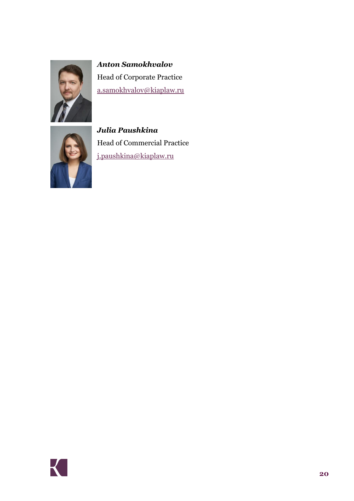

*Anton Samokhvalov* Head of Corporate Practice [a.samokhvalov@kiaplaw.ru](mailto:a.samokhvalov@kiaplaw.ru)



*Julia Paushkina* Head of Commercial Practice [j.paushkina@kiaplaw.ru](mailto:j.paushkina@kiaplaw.ru)

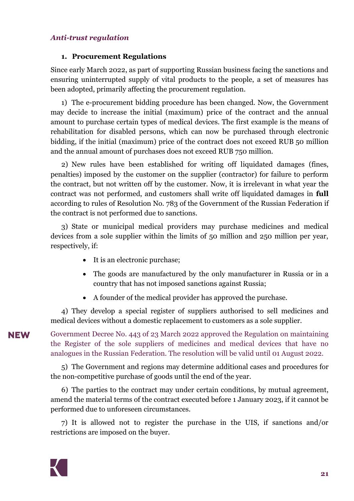#### <span id="page-20-0"></span>*Anti-trust regulation*

#### **1. Procurement Regulations**

Since early March 2022, as part of supporting Russian business facing the sanctions and ensuring uninterrupted supply of vital products to the people, a set of measures has been adopted, primarily affecting the procurement regulation.

1) The e-procurement bidding procedure has been changed. Now, the Government may decide to increase the initial (maximum) price of the contract and the annual amount to purchase certain types of medical devices. The first example is the means of rehabilitation for disabled persons, which can now be purchased through electronic bidding, if the initial (maximum) price of the contract does not exceed RUB 50 million and the annual amount of purchases does not exceed RUB 750 million.

2) New rules have been established for writing off liquidated damages (fines, penalties) imposed by the customer on the supplier (contractor) for failure to perform the contract, but not written off by the customer. [Now,](consultantplus://offline/main?base=law;n=411337;dst=100006) it is irrelevant in what year the contract was not performed, and customers shall write off liquidated damages in **full** according to [rules](consultantplus://offline/main?base=law;n=406070;dst=3) of Resolution No. 783 of the Government of the Russian Federation if the contract is [not](consultantplus://offline/main?base=law;n=411337;dst=100017) performed due to sanctions.

3) State or municipal medical providers [may purchase](consultantplus://offline/main?base=law;n=411095;dst=100058) medicines and medical devices from a sole supplier within the limits of 50 million and 250 million per year, respectively, if:

- It is an electronic purchase;
- The goods are manufactured by the only manufacturer in Russia or in a country that has not imposed sanctions against Russia;
- A founder of the medical provider has approved the purchase.

4) They develop a special register of suppliers authorised to sell medicines and medical devices without a domestic replacement to customers as a sole supplier.

Government Decree No. 443 of 23 March 2022 approved the Regulation on maintaining the Register of the sole suppliers of medicines and medical devices that have no analogues in the Russian Federation. The resolution will be valid until 01 August 2022.

5) The Government and regions [may determine](consultantplus://offline/main?base=law;n=411095;dst=100103) additional cases and procedures for the non-competitive purchase of goods until the end of the year.

6) The parties to the contract may under certain conditions, by mutual agreement, amend the material terms of the contract executed before 1 January 2023, if it cannot be performed due to unforeseen circumstances.

7) It is allowed not to register the purchase in the UIS, if sanctions and/or restrictions are imposed on the buyer.

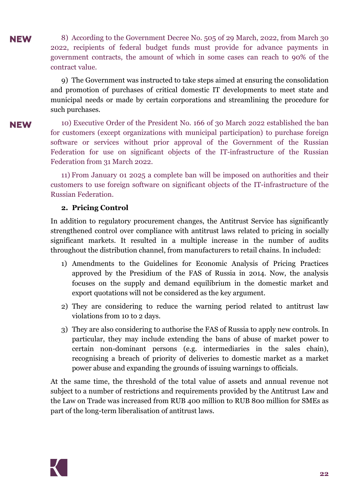8) According to the Government Decree No. 505 of 29 March, 2022, from March 30 **NEW** 2022, recipients of federal budget funds must provide for advance payments in government contracts, the amount of which in some cases can reach to 90% of the contract value.

> 9) The Government was instructed to take steps aimed at ensuring the consolidation and promotion of purchases of critical domestic IT developments to meet state and municipal needs or made by certain corporations and streamlining the procedure for such purchases.

#### **NEW**

10) Executive Order of the President No. 166 of 30 March 2022 established the ban for customers (except organizations with municipal participation) to purchase foreign software or services without prior approval of the Government of the Russian Federation for use on significant objects of the IT-infrastructure of the Russian Federation from 31 March 2022.

11) From January 01 2025 a complete ban will be imposed on authorities and their customers to use foreign software on significant objects of the IT-infrastructure of the Russian Federation.

#### **2. Pricing Control**

In addition to regulatory procurement changes, the Antitrust Service has significantly strengthened control over compliance with antitrust laws related to pricing in socially significant markets. It resulted in a multiple increase in the number of audits throughout the distribution channel, from manufacturers to retail chains. In included:

- 1) Amendments to the Guidelines for Economic Analysis of Pricing Practices approved by the Presidium of the FAS of Russia in 2014. Now, the analysis focuses on the supply and demand equilibrium in the domestic market and export quotations will not be considered as the key argument.
- 2) They are considering to reduce the warning period related to antitrust law violations from 10 to 2 days.
- 3) They are also considering to authorise the FAS of Russia to apply new controls. In particular, they may include extending the bans of abuse of market power to certain non-dominant persons (e.g. intermediaries in the sales chain), recognising a breach of priority of deliveries to domestic market as a market power abuse and expanding the grounds of issuing warnings to officials.

At the same time, the threshold of the total value of assets and annual revenue not subject to a number of restrictions and requirements provided by the Antitrust Law and the Law on Trade was increased from RUB 400 million to RUB 800 million for SMEs as part of the long-term liberalisation of antitrust laws.

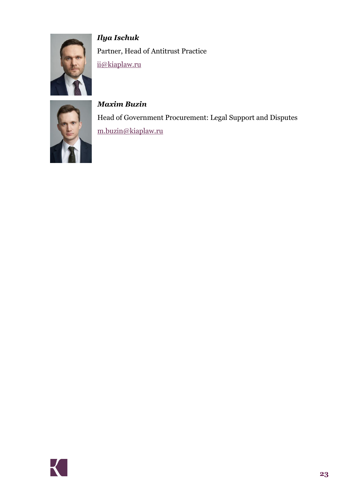

*Ilya Ischuk* Partner, Head of Antitrust Practice [ii@kiaplaw.ru](mailto:ii@kiaplaw.ru)



*Maxim Buzin*  Head of Government Procurement: Legal Support and Disputes [m.buzin@kiaplaw.ru](mailto:m.buzin@kiaplaw.ru)

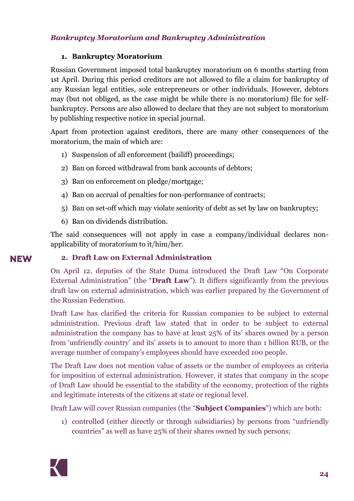### <span id="page-23-0"></span>*Bankruptcy Moratorium and Bankruptcy Administration*

#### **1. Bankruptcy Moratorium**

Russian Government imposed total bankruptcy moratorium on 6 months starting from 1st April. During this period creditors are not allowed to file a claim for bankruptcy of any Russian legal entities, sole entrepreneurs or other individuals. However, debtors may (but not obliged, as the case might be while there is no moratorium) file for selfbankruptcy. Persons are also allowed to declare that they are not subject to moratorium by publishing respective notice in special journal.

Apart from protection against creditors, there are many other consequences of the moratorium, the main of which are:

- 1) Suspension of all enforcement (bailiff) proceedings;
- 2) Ban on forced withdrawal from bank accounts of debtors;
- 3) Ban on enforcement on pledge/mortgage;
- 4) Ban on accrual of penalties for non-performance of contracts;
- 5) Ban on set-off which may violate seniority of debt as set by law on bankruptcy;
- 6) Ban on dividends distribution.

The said consequences will not apply in case a company/individual declares nonapplicability of moratorium to it/him/her.

#### **2. Draft Law on External Administration**

On April 12, deputies of the State Duma introduced the Draft Law "On Corporate External Administration" (the "**Draft Law**"). It differs significantly from the previous draft law on external administration, which was earlier prepared by the Government of the Russian Federation.

Draft Law has clarified the criteria for Russian companies to be subject to external administration. Previous draft law stated that in order to be subject to external administration the company has to have at least 25% of its' shares owned by a person from 'unfriendly country' and its' assets is to amount to more than 1 billion RUB, or the average number of company's employees should have exceeded 100 people.

The Draft Law does not mention value of assets or the number of employees as criteria for imposition of external administration. However, it states that company in the scope of Draft Law should be essential to the stability of the economy, protection of the rights and legitimate interests of the citizens at state or regional level.

Draft Law will cover Russian companies (the "**Subject Companies**") which are both:

1) controlled (either directly or through subsidiaries) by persons from "unfriendly countries" as well as have 25% of their shares owned by such persons;

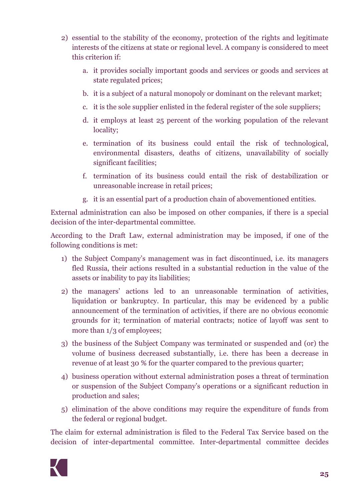- 2) essential to the stability of the economy, protection of the rights and legitimate interests of the citizens at state or regional level. A company is considered to meet this criterion if:
	- a. it provides socially important goods and services or goods and services at state regulated prices;
	- b. it is a subject of a natural monopoly or dominant on the relevant market;
	- c. it is the sole supplier enlisted in the federal register of the sole suppliers;
	- d. it employs at least 25 percent of the working population of the relevant locality;
	- e. termination of its business could entail the risk of technological, environmental disasters, deaths of citizens, unavailability of socially significant facilities;
	- f. termination of its business could entail the risk of destabilization or unreasonable increase in retail prices;
	- g. it is an essential part of a production chain of abovementioned entities.

External administration can also be imposed on other companies, if there is a special decision of the inter-departmental committee.

According to the Draft Law, external administration may be imposed, if one of the following conditions is met:

- 1) the Subject Company's management was in fact discontinued, i.e. its managers fled Russia, their actions resulted in a substantial reduction in the value of the assets or inability to pay its liabilities;
- 2) the managers' actions led to an unreasonable termination of activities, liquidation or bankruptcy. In particular, this may be evidenced by a public announcement of the termination of activities, if there are no obvious economic grounds for it; termination of material contracts; notice of layoff was sent to more than  $1/3$  of employees;
- 3) the business of the Subject Company was terminated or suspended and (or) the volume of business decreased substantially, i.e. there has been a decrease in revenue of at least 30 % for the quarter compared to the previous quarter;
- 4) business operation without external administration poses a threat of termination or suspension of the Subject Company's operations or a significant reduction in production and sales;
- 5) elimination of the above conditions may require the expenditure of funds from the federal or regional budget.

The claim for external administration is filed to the Federal Tax Service based on the decision of inter-departmental committee. Inter-departmental committee decides

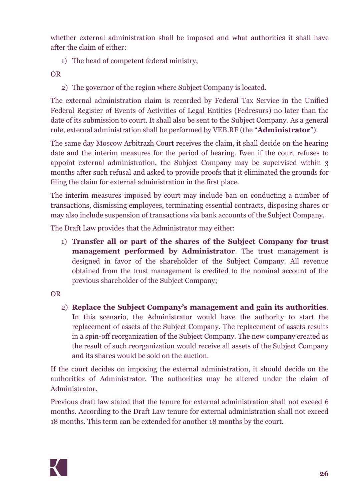whether external administration shall be imposed and what authorities it shall have after the claim of either:

1) The head of competent federal ministry,

OR

2) The governor of the region where Subject Company is located.

The external administration claim is recorded by Federal Tax Service in the Unified Federal Register of Events of Activities of Legal Entities (Fedresurs) no later than the date of its submission to court. It shall also be sent to the Subject Company. As a general rule, external administration shall be performed by VEB.RF (the "**Administrator**").

The same day Moscow Arbitrazh Court receives the claim, it shall decide on the hearing date and the interim measures for the period of hearing. Even if the court refuses to appoint external administration, the Subject Company may be supervised within 3 months after such refusal and asked to provide proofs that it eliminated the grounds for filing the claim for external administration in the first place.

The interim measures imposed by court may include ban on conducting a number of transactions, dismissing employees, terminating essential contracts, disposing shares or may also include suspension of transactions via bank accounts of the Subject Company.

The Draft Law provides that the Administrator may either:

1) **Transfer all or part of the shares of the Subject Company for trust management performed by Administrator**. The trust management is designed in favor of the shareholder of the Subject Company. All revenue obtained from the trust management is credited to the nominal account of the previous shareholder of the Subject Company;

# OR

2) **Replace the Subject Company's management and gain its authorities**. In this scenario, the Administrator would have the authority to start the replacement of assets of the Subject Company. The replacement of assets results in a spin-off reorganization of the Subject Company. The new company created as the result of such reorganization would receive all assets of the Subject Company and its shares would be sold on the auction.

If the court decides on imposing the external administration, it should decide on the authorities of Administrator. The authorities may be altered under the claim of Administrator.

Previous draft law stated that the tenure for external administration shall not exceed 6 months. According to the Draft Law tenure for external administration shall not exceed 18 months. This term can be extended for another 18 months by the court.

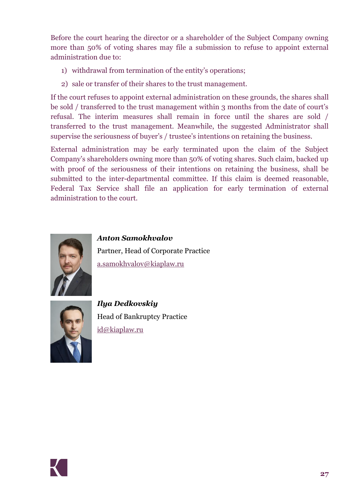Before the court hearing the director or a shareholder of the Subject Company owning more than 50% of voting shares may file a submission to refuse to appoint external administration due to:

- 1) withdrawal from termination of the entity's operations;
- 2) sale or transfer of their shares to the trust management.

If the court refuses to appoint external administration on these grounds, the shares shall be sold / transferred to the trust management within 3 months from the date of court's refusal. The interim measures shall remain in force until the shares are sold / transferred to the trust management. Meanwhile, the suggested Administrator shall supervise the seriousness of buyer's / trustee's intentions on retaining the business.

External administration may be early terminated upon the claim of the Subject Company's shareholders owning more than 50% of voting shares. Such claim, backed up with proof of the seriousness of their intentions on retaining the business, shall be submitted to the inter-departmental committee. If this claim is deemed reasonable, Federal Tax Service shall file an application for early termination of external administration to the court.



*Anton Samokhvalov* Partner, Head of Corporate Practice [a.samokhvalov@kiaplaw.ru](mailto:a.samokhvalov@kiaplaw.ru)



*Ilya Dedkovskiy* Head of Bankruptcy Practice [id@kiaplaw.ru](mailto:id@kiaplaw.ru)

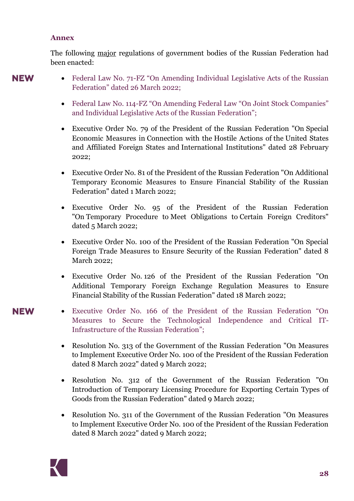#### <span id="page-27-0"></span>**Annex**

The following major regulations of government bodies of the Russian Federation had been enacted:

# **NEW**

- Federal Law No. 71-FZ "On Amending Individual Legislative Acts of the Russian Federation" dated 26 March 2022;
	- Federal Law No. 114-FZ "On Amending Federal Law "On Joint Stock Companies" and Individual Legislative Acts of the Russian Federation";
	- Executive Order No. 79 of the President of the Russian Federation "On Special Economic Measures in Connection with the Hostile Actions of the United States and Affiliated Foreign States and International Institutions" dated 28 February 2022;
	- Executive Order No. 81 of the President of the Russian Federation "On Additional Temporary Economic Measures to Ensure Financial Stability of the Russian Federation" dated 1 March 2022;
- Executive Order No. 95 of the President of the Russian Federation "On Temporary Procedure to Meet Obligations to Certain Foreign Creditors" dated 5 March 2022;
- Executive Order No. 100 of the President of the Russian Federation "On Special Foreign Trade Measures to Ensure Security of the Russian Federation" dated 8 March 2022;
- Executive Order No. 126 of the President of the Russian Federation "On Additional Temporary Foreign Exchange Regulation Measures to Ensure Financial Stability of the Russian Federation" dated 18 March 2022;
- Executive Order No. 166 of the President of the Russian Federation "On Measures to Secure the Technological Independence and Critical IT-Infrastructure of the Russian Federation";
	- Resolution No. 313 of the Government of the Russian Federation "On Measures" to Implement Executive Order No. 100 of the President of the Russian Federation dated 8 March 2022" dated 9 March 2022;
	- Resolution No. 312 of the Government of the Russian Federation "On Introduction of Temporary Licensing Procedure for Exporting Certain Types of Goods from the Russian Federation" dated 9 March 2022;
	- Resolution No. 311 of the Government of the Russian Federation "On Measures" to Implement Executive Order No. 100 of the President of the Russian Federation dated 8 March 2022" dated 9 March 2022;

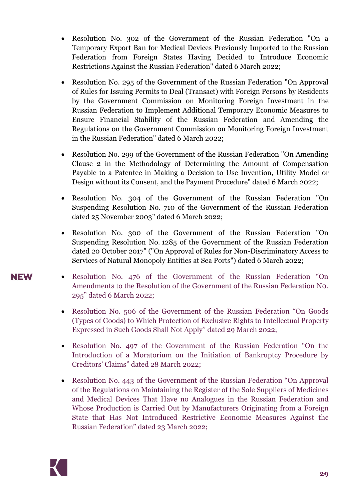- Resolution No. 302 of the Government of the Russian Federation "On a Temporary Export Ban for Medical Devices Previously Imported to the Russian Federation from Foreign States Having Decided to Introduce Economic Restrictions Against the Russian Federation" dated 6 March 2022;
- Resolution No. 295 of the Government of the Russian Federation "On Approval of Rules for Issuing Permits to Deal (Transact) with Foreign Persons by Residents by the Government Commission on Monitoring Foreign Investment in the Russian Federation to Implement Additional Temporary Economic Measures to Ensure Financial Stability of the Russian Federation and Amending the Regulations on the Government Commission on Monitoring Foreign Investment in the Russian Federation" dated 6 March 2022;
- Resolution No. 299 of the Government of the Russian Federation "On Amending Clause 2 in the Methodology of Determining the Amount of Compensation Payable to a Patentee in Making a Decision to Use Invention, Utility Model or Design without its Consent, and the Payment Procedure" dated 6 March 2022;
- Resolution No. 304 of the Government of the Russian Federation "On Suspending Resolution No. 710 of the Government of the Russian Federation dated 25 November 2003" dated 6 March 2022;
- Resolution No. 300 of the Government of the Russian Federation "On Suspending Resolution No. 1285 of the Government of the Russian Federation dated 20 October 2017" ("On Approval of Rules for Non-Discriminatory Access to Services of Natural Monopoly Entities at Sea Ports") dated 6 March 2022;
- Resolution No. 476 of the Government of the Russian Federation "On Amendments to the Resolution of the Government of the Russian Federation N0. 295" dated 6 March 2022;
- Resolution No. 506 of the Government of the Russian Federation "On Goods" (Types of Goods) to Which Protection of Exclusive Rights to Intellectual Property Expressed in Such Goods Shall Not Apply" dated 29 March 2022;
- Resolution No. 497 of the Government of the Russian Federation "On the Introduction of a Moratorium on the Initiation of Bankruptcy Procedure by Creditors' Claims" dated 28 March 2022;
- Resolution No. 443 of the Government of the Russian Federation "On Approval" of the Regulations on Maintaining the Register of the Sole Suppliers of Medicines and Medical Devices That Have no Analogues in the Russian Federation and Whose Production is Carried Out by Manufacturers Originating from a Foreign State that Has Not Introduced Restrictive Economic Measures Against the Russian Federation" dated 23 March 2022;

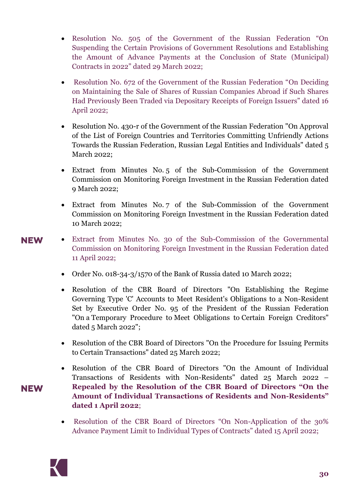- Resolution No. 505 of the Government of the Russian Federation "On Suspending the Certain Provisions of Government Resolutions and Establishing the Amount of Advance Payments at the Conclusion of State (Municipal) Contracts in 2022" dated 29 March 2022;
- Resolution No. 672 of the Government of the Russian Federation "On Deciding on Maintaining the Sale of Shares of Russian Companies Abroad if Such Shares Had Previously Been Traded via Depositary Receipts of Foreign Issuers" dated 16 April 2022;
- Resolution No. 430-r of the Government of the Russian Federation "On Approval" of the List of Foreign Countries and Territories Committing Unfriendly Actions Towards the Russian Federation, Russian Legal Entities and Individuals" dated 5 March 2022;
- Extract from Minutes No. 5 of the Sub-Commission of the Government Commission on Monitoring Foreign Investment in the Russian Federation dated 9 March 2022;
- Extract from Minutes No. 7 of the Sub-Commission of the Government Commission on Monitoring Foreign Investment in the Russian Federation dated 10 March 2022;
- **NEW**

- Extract from Minutes No. 30 of the Sub-Commission of the Governmental Commission on Monitoring Foreign Investment in the Russian Federation dated 11 April 2022;
	- Order No. 018-34-3/1570 of the Bank of Russia dated 10 March 2022;
	- Resolution of the CBR Board of Directors "On Establishing the Regime Governing Type 'С' Accounts to Meet Resident's Obligations to a Non-Resident Set by Executive Order No. 95 of the President of the Russian Federation "On a Temporary Procedure to Meet Obligations to Certain Foreign Creditors" dated 5 March 2022";
	- Resolution of the CBR Board of Directors "On the Procedure for Issuing Permits to Certain Transactions" dated 25 March 2022;
- Resolution of the CBR Board of Directors "On the Amount of Individual Transactions of Residents with Non-Residents" dated 25 March 2022 – **Repealed by the Resolution of the CBR Board of Directors "On the Amount of Individual Transactions of Residents and Non-Residents" dated 1 April 2022**;
	- Resolution of the CBR Board of Directors "On Non-Application of the 30% Advance Payment Limit to Individual Types of Contracts" dated 15 April 2022;

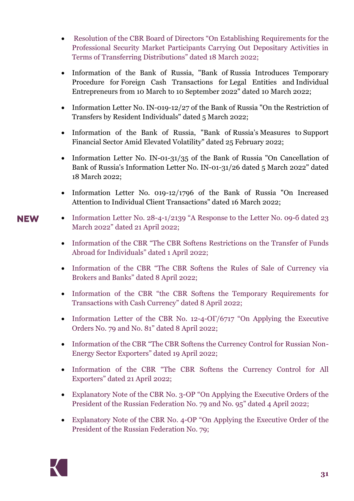- Resolution of the CBR Board of Directors "On Establishing Requirements for the Professional Security Market Participants Carrying Out Depositary Activities in Terms of Transferring Distributions" dated 18 March 2022;
- Information of the Bank of Russia, "Bank of Russia Introduces Temporary Procedure for Foreign Cash Transactions for Legal Entities and Individual Entrepreneurs from 10 March to 10 September 2022" dated 10 March 2022;
- Information Letter No. IN-019-12/27 of the Bank of Russia "On the Restriction of Transfers by Resident Individuals" dated 5 March 2022;
- Information of the Bank of Russia, "Bank of Russia's Measures to Support Financial Sector Amid Elevated Volatility" dated 25 February 2022;
- Information Letter No. IN-01-31/35 of the Bank of Russia "On Cancellation of Bank of Russia's Information Letter No. IN-01-31/26 dated 5 March 2022" dated 18 March 2022;
- Information Letter No. 019-12/1796 of the Bank of Russia "On Increased Attention to Individual Client Transactions" dated 16 March 2022;
- Information Letter No. 28-4-1/2139 "A Response to the Letter No. 09-6 dated 23 March 2022" dated 21 April 2022;
	- Information of the CBR "The CBR Softens Restrictions on the Transfer of Funds Abroad for Individuals" dated 1 April 2022;
	- Information of the CBR "The CBR Softens the Rules of Sale of Currency via Brokers and Banks" dated 8 April 2022;
	- Information of the CBR "the CBR Softens the Temporary Requirements for Transactions with Cash Currency" dated 8 April 2022;
	- Information Letter of the CBR No. 12-4- $\text{OT}/\text{6717}$  "On Applying the Executive Orders No. 79 and No. 81" dated 8 April 2022;
	- Information of the CBR "The CBR Softens the Currency Control for Russian Non-Energy Sector Exporters" dated 19 April 2022;
	- Information of the CBR "The CBR Softens the Currency Control for All Exporters" dated 21 April 2022;
	- Explanatory Note of the CBR No. 3-OP "On Applying the Executive Orders of the President of the Russian Federation No. 79 and No. 95" dated 4 April 2022;
	- Explanatory Note of the CBR No. 4-OP "On Applying the Executive Order of the President of the Russian Federation No. 79;